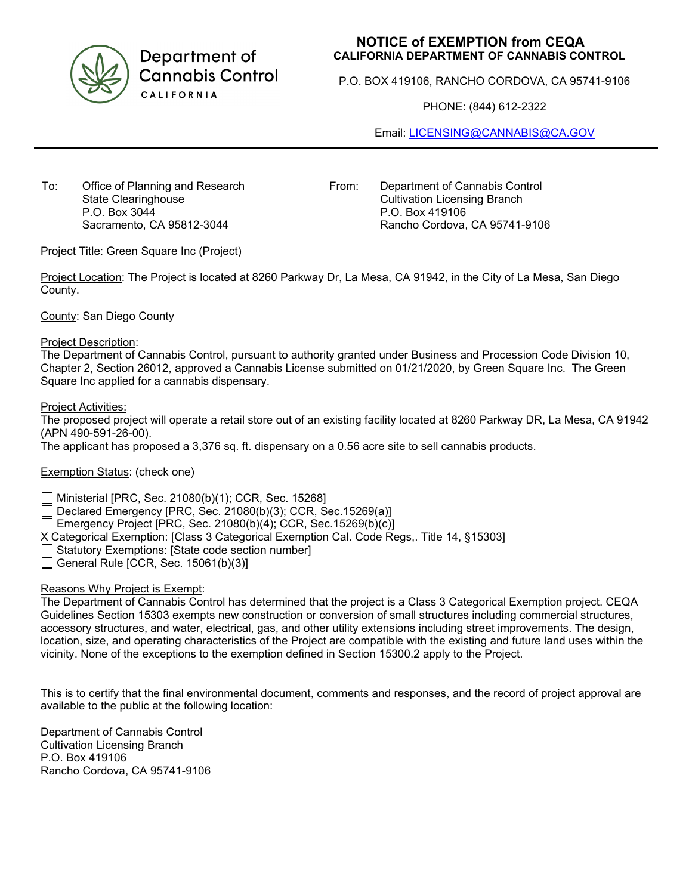

Department of **Cannabis Control** CALIFORNIA

## **NOTICE of EXEMPTION from CEQA CALIFORNIA DEPARTMENT OF CANNABIS CONTROL**

P.O. BOX 419106, RANCHO CORDOVA, CA 95741-9106

PHONE: (844) 612-2322

Email: [LICENSING@CANNABIS@CA.GOV](mailto:LICENSING@CANNABIS@CA.GOV)

To: Office of Planning and Research State Clearinghouse P.O. Box 3044 Sacramento, CA 95812-3044

From: Department of Cannabis Control Cultivation Licensing Branch P.O. Box 419106 Rancho Cordova, CA 95741-9106

Project Title: Green Square Inc (Project)

Project Location: The Project is located at 8260 Parkway Dr, La Mesa, CA 91942, in the City of La Mesa, San Diego County.

County: San Diego County

Project Description:

The Department of Cannabis Control, pursuant to authority granted under Business and Procession Code Division 10, Chapter 2, Section 26012, approved a Cannabis License submitted on 01/21/2020, by Green Square Inc. The Green Square Inc applied for a cannabis dispensary.

Project Activities:

The proposed project will operate a retail store out of an existing facility located at 8260 Parkway DR, La Mesa, CA 91942 (APN 490-591-26-00).

The applicant has proposed a 3,376 sq. ft. dispensary on a 0.56 acre site to sell cannabis products.

Exemption Status: (check one)

Ministerial [PRC, Sec. 21080(b)(1); CCR, Sec. 15268]

Declared Emergency [PRC, Sec. 21080(b)(3); CCR, Sec.15269(a)]

Emergency Project [PRC, Sec. 21080(b)(4); CCR, Sec. 15269(b)(c)]

X Categorical Exemption: [Class 3 Categorical Exemption Cal. Code Regs,. Title 14, §15303]

 $\Box$  Statutory Exemptions: [State code section number]

General Rule [CCR, Sec.  $15061(b)(3)$ ]

## Reasons Why Project is Exempt:

The Department of Cannabis Control has determined that the project is a Class 3 Categorical Exemption project. CEQA Guidelines Section 15303 exempts new construction or conversion of small structures including commercial structures, accessory structures, and water, electrical, gas, and other utility extensions including street improvements. The design, location, size, and operating characteristics of the Project are compatible with the existing and future land uses within the vicinity. None of the exceptions to the exemption defined in Section 15300.2 apply to the Project.

This is to certify that the final environmental document, comments and responses, and the record of project approval are available to the public at the following location:

Department of Cannabis Control Cultivation Licensing Branch P.O. Box 419106 Rancho Cordova, CA 95741-9106